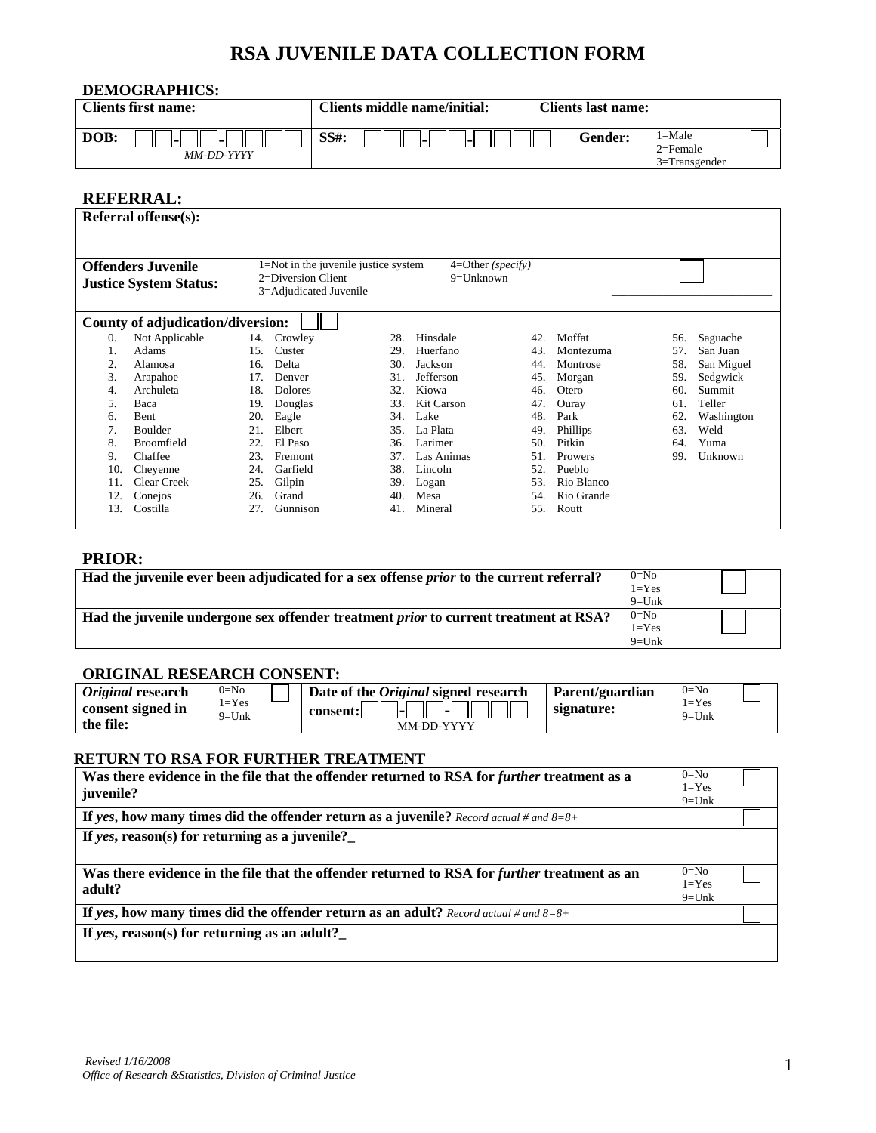# **RSA JUVENILE DATA COLLECTION FORM**

| DEMOGRAPHICS: |                     |         |                              |  |                           |                                                 |  |  |
|---------------|---------------------|---------|------------------------------|--|---------------------------|-------------------------------------------------|--|--|
|               | Clients first name: |         | Clients middle name/initial: |  | <b>Clients last name:</b> |                                                 |  |  |
| DOB:          | MM-DD-YYYY          | $SS#$ : |                              |  | <b>Gender:</b>            | $1 =$ Male<br>$2 =$ Female<br>$3 =$ Transgender |  |  |

#### **REFERRAL:**

|                                                                                                                                                                                           | <b>Referral offense(s):</b>       |     |                |     |                   |     |            |     |            |
|-------------------------------------------------------------------------------------------------------------------------------------------------------------------------------------------|-----------------------------------|-----|----------------|-----|-------------------|-----|------------|-----|------------|
|                                                                                                                                                                                           |                                   |     |                |     |                   |     |            |     |            |
| 1=Not in the juvenile justice system<br>$4=Other(specify)$<br><b>Offenders Juvenile</b><br>2=Diversion Client<br>$9 =$ Unknown<br><b>Justice System Status:</b><br>3=Adjudicated Juvenile |                                   |     |                |     |                   |     |            |     |            |
|                                                                                                                                                                                           | County of adjudication/diversion: |     |                |     |                   |     |            |     |            |
| $\overline{0}$ .                                                                                                                                                                          | Not Applicable                    | 14. | Crowley        | 28. | Hinsdale          | 42. | Moffat     | 56. | Saguache   |
| 1.                                                                                                                                                                                        | Adams                             | 15. | Custer         | 29. | Huerfano          | 43. | Montezuma  | 57. | San Juan   |
| 2.                                                                                                                                                                                        | Alamosa                           | 16. | Delta          | 30. | Jackson           | 44. | Montrose   | 58. | San Miguel |
| 3.                                                                                                                                                                                        | Arapahoe                          | 17. | Denver         | 31. | Jefferson         | 45. | Morgan     | 59. | Sedgwick   |
| 4.                                                                                                                                                                                        | Archuleta                         | 18. | <b>Dolores</b> | 32. | Kiowa             | 46. | Otero      | 60. | Summit     |
| 5.                                                                                                                                                                                        | Baca                              | 19. | Douglas        | 33. | <b>Kit Carson</b> | 47. | Ouray      | 61. | Teller     |
| 6.                                                                                                                                                                                        | <b>Bent</b>                       | 20. | Eagle          | 34. | Lake              | 48. | Park       | 62. | Washington |
| 7.                                                                                                                                                                                        | <b>Boulder</b>                    | 21. | Elbert         | 35. | La Plata          | 49. | Phillips   | 63. | Weld       |
| 8.                                                                                                                                                                                        | Broomfield                        | 22. | El Paso        | 36. | Larimer           | 50. | Pitkin     | 64. | Yuma       |
| 9.                                                                                                                                                                                        | Chaffee                           | 23. | Fremont        | 37. | Las Animas        | 51  | Prowers    | 99  | Unknown    |
| 10.                                                                                                                                                                                       | Cheyenne                          | 24. | Garfield       | 38. | Lincoln           | 52. | Pueblo     |     |            |
| 11.                                                                                                                                                                                       | <b>Clear Creek</b>                | 25. | Gilpin         | 39. | Logan             | 53. | Rio Blanco |     |            |
| 12.                                                                                                                                                                                       | Conejos                           | 26. | Grand          | 40. | Mesa              | 54. | Rio Grande |     |            |
| 13.                                                                                                                                                                                       | Costilla                          | 27. | Gunnison       | 41. | Mineral           | 55. | Routt      |     |            |
|                                                                                                                                                                                           |                                   |     |                |     |                   |     |            |     |            |

#### **PRIOR:**

| Had the juvenile ever been adjudicated for a sex offense <i>prior</i> to the current referral? | $0=N0$    |  |
|------------------------------------------------------------------------------------------------|-----------|--|
|                                                                                                | $1 = Yes$ |  |
|                                                                                                | $9=$ Unk  |  |
| Had the juvenile undergone sex offender treatment <i>prior</i> to current treatment at RSA?    | $0=N0$    |  |
|                                                                                                | $1 = Yes$ |  |
|                                                                                                | $9=$ Unk  |  |

#### **ORIGINAL RESEARCH CONSENT:**

| <i>Original</i> research | $0 = No$         |  | Date of the <i>Original</i> signed research | Parent/guardian | $0 = No$              |  |  |  |
|--------------------------|------------------|--|---------------------------------------------|-----------------|-----------------------|--|--|--|
| consent signed in        | $=$ Yes<br>9=Unk |  | ы<br>consent:<br>ьI                         | signature:      | $1 = Yes$<br>$9=$ Unk |  |  |  |
| the file:                |                  |  | MM-DD-YYYY                                  |                 |                       |  |  |  |

#### **RETURN TO RSA FOR FURTHER TREATMENT**

| Was there evidence in the file that the offender returned to RSA for further treatment as a<br>juvenile?      | $0 = No$<br>$1 = Yes$<br>$9 =$ Unk |  |
|---------------------------------------------------------------------------------------------------------------|------------------------------------|--|
| If yes, how many times did the offender return as a juvenile? Record actual # and $8=8+$                      |                                    |  |
| If yes, reason(s) for returning as a juvenile?                                                                |                                    |  |
| Was there evidence in the file that the offender returned to RSA for <i>further</i> treatment as an<br>adult? | $0=N0$<br>$1 = Yes$<br>$9 =$ Unk   |  |
| If yes, how many times did the offender return as an adult? Record actual # and $8=8+$                        |                                    |  |
|                                                                                                               |                                    |  |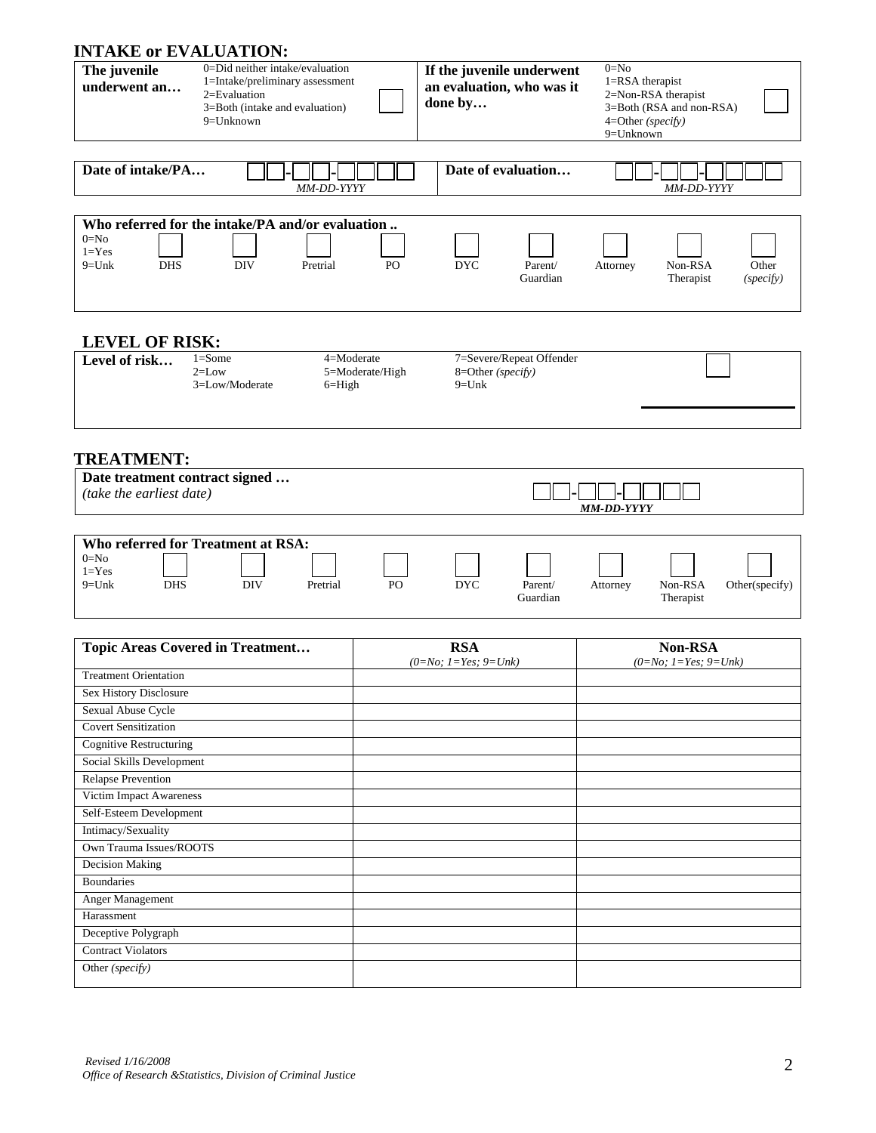# **INTAKE or EVALUATION:**

| INIAKE OF EVALUATION:<br>The juvenile<br>underwent an<br>Date of intake/PA                | 0=Did neither intake/evaluation<br>1=Intake/preliminary assessment<br>2=Evaluation<br>3=Both (intake and evaluation)<br>9=Unknown |                 | done by<br>Date of evaluation | If the juvenile underwent<br>an evaluation, who was it | $0=N0$<br>1=RSA therapist<br>4=Other (specify)<br>9=Unknown | 2=Non-RSA therapist<br>3=Both (RSA and non-RSA) |                    |
|-------------------------------------------------------------------------------------------|-----------------------------------------------------------------------------------------------------------------------------------|-----------------|-------------------------------|--------------------------------------------------------|-------------------------------------------------------------|-------------------------------------------------|--------------------|
|                                                                                           | MM-DD-YYYY                                                                                                                        |                 |                               |                                                        |                                                             | MM-DD-YYYY                                      |                    |
|                                                                                           |                                                                                                                                   |                 |                               |                                                        |                                                             |                                                 |                    |
| $0=N0$<br>$1 = Yes$<br><b>DHS</b><br>$9=Unk$                                              | Who referred for the intake/PA and/or evaluation<br><b>DIV</b><br>Pretrial                                                        | PO              | <b>DYC</b>                    | Parent/<br>Guardian                                    | Attorney                                                    | Non-RSA<br>Therapist                            | Other<br>(specify) |
| <b>LEVEL OF RISK:</b><br>Level of risk                                                    | $1 = Some$<br>4=Moderate<br>$2=$ Low<br>3=Low/Moderate<br>$6 =$ High                                                              | 5=Moderate/High | 8=Other (specify)<br>$9=Unk$  | 7=Severe/Repeat Offender                               |                                                             |                                                 |                    |
| <b>TREATMENT:</b><br>Date treatment contract signed<br>(take the earliest date)           |                                                                                                                                   |                 |                               |                                                        |                                                             |                                                 |                    |
|                                                                                           |                                                                                                                                   |                 |                               |                                                        | <b>MM-DD-YYYY</b>                                           |                                                 |                    |
|                                                                                           |                                                                                                                                   |                 |                               |                                                        |                                                             |                                                 |                    |
| <b>Who referred for Treatment at RSA:</b><br>$0=No$<br>$1 = Yes$<br><b>DHS</b><br>$9=Unk$ | <b>DIV</b><br>Pretrial                                                                                                            | PO              | <b>DYC</b>                    | Parent/<br>Guardian                                    | Attorney                                                    | Non-RSA<br>Therapist                            | Other(specify)     |
|                                                                                           | <b>Topic Areas Covered in Treatment</b>                                                                                           |                 | <b>RSA</b>                    |                                                        |                                                             | Non-RSA                                         |                    |
| <b>Treatment Orientation</b>                                                              |                                                                                                                                   |                 | $(0=No; 1=Yes; 9=Unk)$        |                                                        |                                                             | $(0=No; 1=Yes; 9=Unk)$                          |                    |
| Sex History Disclosure<br>Sexual Abuse Cycle                                              |                                                                                                                                   |                 |                               |                                                        |                                                             |                                                 |                    |

| <b>Topic Areas Covered in Treatment</b> | <b>RSA</b>             | Non-RSA                |
|-----------------------------------------|------------------------|------------------------|
|                                         | $(0=No; 1=Yes; 9=Unk)$ | $(0=No; 1=Yes; 9=Unk)$ |
| <b>Treatment Orientation</b>            |                        |                        |
| Sex History Disclosure                  |                        |                        |
| Sexual Abuse Cycle                      |                        |                        |
| <b>Covert Sensitization</b>             |                        |                        |
| <b>Cognitive Restructuring</b>          |                        |                        |
| Social Skills Development               |                        |                        |
| <b>Relapse Prevention</b>               |                        |                        |
| Victim Impact Awareness                 |                        |                        |
| Self-Esteem Development                 |                        |                        |
| Intimacy/Sexuality                      |                        |                        |
| Own Trauma Issues/ROOTS                 |                        |                        |
| Decision Making                         |                        |                        |
| <b>Boundaries</b>                       |                        |                        |
| Anger Management                        |                        |                        |
| Harassment                              |                        |                        |

Deceptive Polygraph Contract Violators Other *(specify)*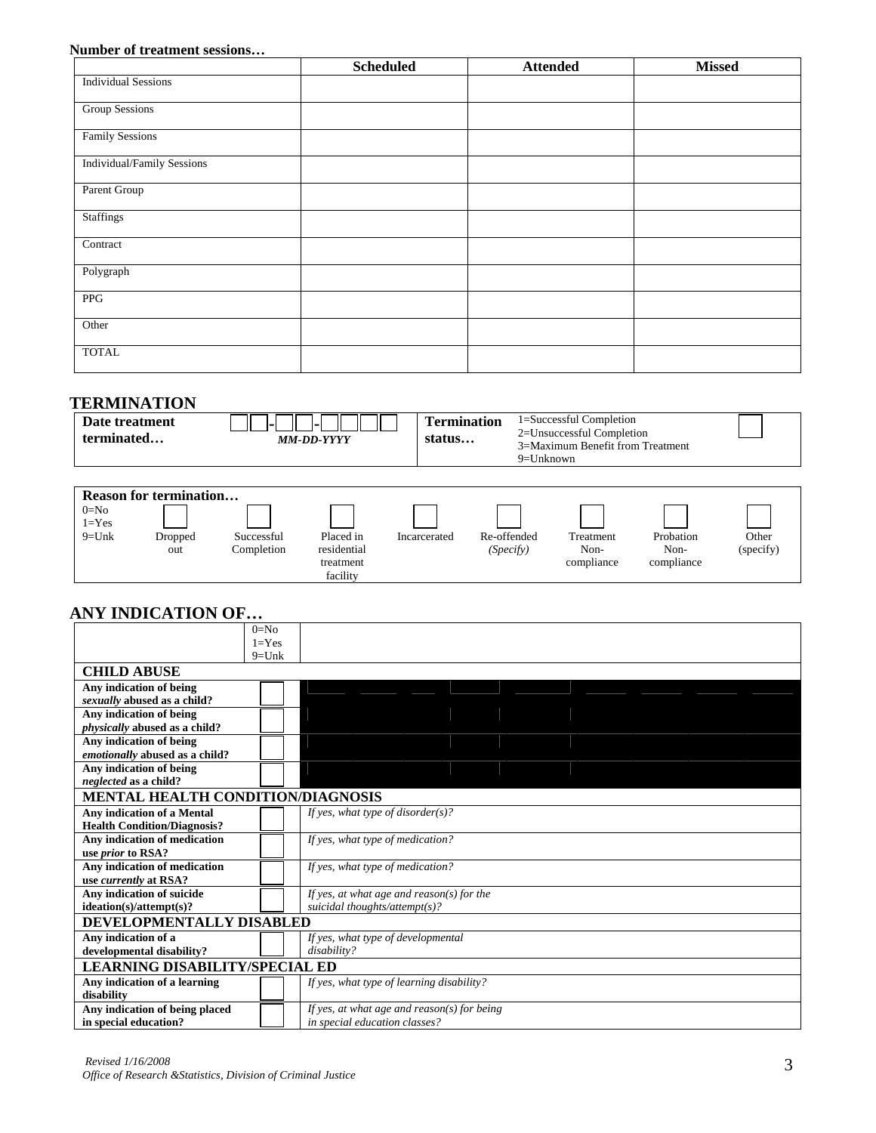#### **Number of treatment sessions…**

|                            | <b>Scheduled</b> | <b>Attended</b> | <b>Missed</b> |
|----------------------------|------------------|-----------------|---------------|
| <b>Individual Sessions</b> |                  |                 |               |
| <b>Group Sessions</b>      |                  |                 |               |
| <b>Family Sessions</b>     |                  |                 |               |
| Individual/Family Sessions |                  |                 |               |
| Parent Group               |                  |                 |               |
| <b>Staffings</b>           |                  |                 |               |
| Contract                   |                  |                 |               |
| Polygraph                  |                  |                 |               |
| PPG                        |                  |                 |               |
| Other                      |                  |                 |               |
| <b>TOTAL</b>               |                  |                 |               |

## **TERMINATION**

| Date treatment<br>terminated                                                                                  | <b>MM-DD-YYYY</b>                     | 1=Successful Completion<br><b>Termination</b><br>2=Unsuccessful Completion<br>status<br>3=Maximum Benefit from Treatment<br>9=Unknown |                          |                                 |                                 |                    |
|---------------------------------------------------------------------------------------------------------------|---------------------------------------|---------------------------------------------------------------------------------------------------------------------------------------|--------------------------|---------------------------------|---------------------------------|--------------------|
| <b>Reason for termination</b><br>$0=N0$<br>$1 = Yes$<br>$9=Unk$<br>Dropped<br>Successful<br>Completion<br>out | Placed in<br>residential<br>treatment | Incarcerated                                                                                                                          | Re-offended<br>(Specify) | Treatment<br>Non-<br>compliance | Probation<br>Non-<br>compliance | Other<br>(specify) |

## **ANY INDICATION OF…**

|                                          | $0=No$    |                                             |  |  |  |  |
|------------------------------------------|-----------|---------------------------------------------|--|--|--|--|
|                                          | $1 = Yes$ |                                             |  |  |  |  |
|                                          | $9=$ Unk  |                                             |  |  |  |  |
| <b>CHILD ABUSE</b>                       |           |                                             |  |  |  |  |
| Any indication of being                  |           |                                             |  |  |  |  |
| sexually abused as a child?              |           |                                             |  |  |  |  |
| Any indication of being                  |           |                                             |  |  |  |  |
| physically abused as a child?            |           |                                             |  |  |  |  |
| Any indication of being                  |           |                                             |  |  |  |  |
| emotionally abused as a child?           |           |                                             |  |  |  |  |
| Any indication of being                  |           |                                             |  |  |  |  |
| neglected as a child?                    |           |                                             |  |  |  |  |
| <b>MENTAL HEALTH CONDITION/DIAGNOSIS</b> |           |                                             |  |  |  |  |
| Any indication of a Mental               |           | If yes, what type of disorder(s)?           |  |  |  |  |
| <b>Health Condition/Diagnosis?</b>       |           |                                             |  |  |  |  |
| Any indication of medication             |           | If yes, what type of medication?            |  |  |  |  |
| use <i>prior</i> to RSA?                 |           |                                             |  |  |  |  |
| Any indication of medication             |           | If yes, what type of medication?            |  |  |  |  |
| use <i>currently</i> at RSA?             |           |                                             |  |  |  |  |
| Any indication of suicide                |           | If yes, at what age and reason(s) for the   |  |  |  |  |
| $idection(s)/attention(s)$ ?             |           | suicidal thoughts/attempt(s)?               |  |  |  |  |
| DEVELOPMENTALLY DISABLED                 |           |                                             |  |  |  |  |
| Any indication of a                      |           | If yes, what type of developmental          |  |  |  |  |
| developmental disability?                |           | disability?                                 |  |  |  |  |
| <b>LEARNING DISABILITY/SPECIAL ED</b>    |           |                                             |  |  |  |  |
| Any indication of a learning             |           | If yes, what type of learning disability?   |  |  |  |  |
| disability                               |           |                                             |  |  |  |  |
| Any indication of being placed           |           | If yes, at what age and reason(s) for being |  |  |  |  |
| in special education?                    |           | in special education classes?               |  |  |  |  |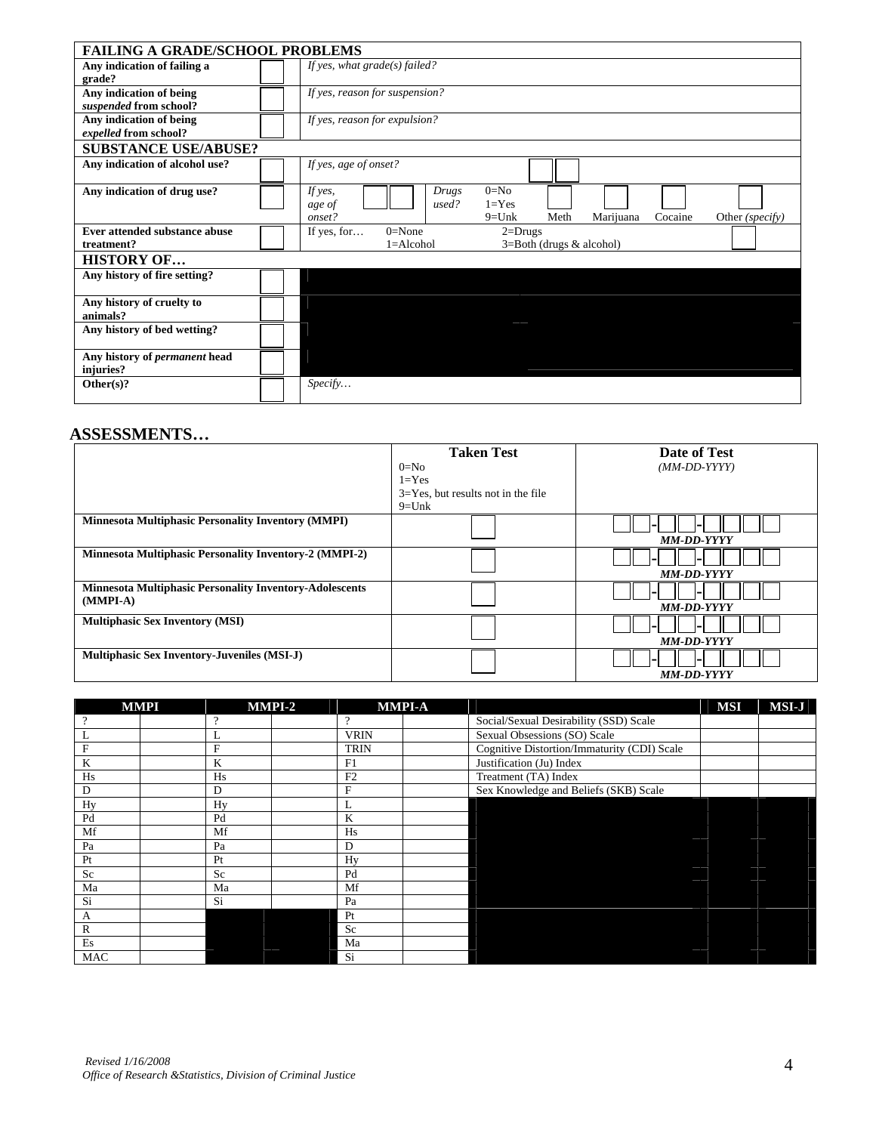| <b>FAILING A GRADE/SCHOOL PROBLEMS</b>            |                                                                       |
|---------------------------------------------------|-----------------------------------------------------------------------|
| Any indication of failing a                       | If yes, what $grade(s)$ failed?                                       |
| grade?                                            |                                                                       |
| Any indication of being                           | If yes, reason for suspension?                                        |
| suspended from school?                            |                                                                       |
| Any indication of being                           | If yes, reason for expulsion?                                         |
| expelled from school?                             |                                                                       |
| <b>SUBSTANCE USE/ABUSE?</b>                       |                                                                       |
| Any indication of alcohol use?                    | If yes, age of onset?                                                 |
| Any indication of drug use?                       | $0=N0$<br>If yes,<br>Drugs                                            |
|                                                   | $1 = Yes$<br>used?<br>age of                                          |
|                                                   | Meth<br>onset?<br>$9=$ Unk<br>Marijuana<br>Cocaine<br>Other (specify) |
| Ever attended substance abuse                     | If yes, for<br>$0=$ None<br>$2 = Drugs$                               |
| treatment?                                        | $1 =$ Alcohol<br>$3 = Both$ (drugs $&$ alcohol)                       |
| <b>HISTORY OF</b>                                 |                                                                       |
| Any history of fire setting?                      |                                                                       |
|                                                   |                                                                       |
| Any history of cruelty to                         |                                                                       |
| animals?                                          |                                                                       |
| Any history of bed wetting?                       |                                                                       |
|                                                   |                                                                       |
| Any history of <i>permanent</i> head<br>injuries? |                                                                       |
| Other $(s)$ ?                                     | Specify                                                               |
|                                                   |                                                                       |

#### **ASSESSMENTS…**

|                                                                              | <b>Taken Test</b><br>$0 = No$<br>$1 = Yes$           | Date of Test<br>$(MM\text{-}DD\text{-}YYYY)$ |
|------------------------------------------------------------------------------|------------------------------------------------------|----------------------------------------------|
|                                                                              | $3 = Yes$ , but results not in the file<br>$9 =$ Unk |                                              |
| <b>Minnesota Multiphasic Personality Inventory (MMPI)</b>                    |                                                      | <b>MM-DD-YYYY</b>                            |
| <b>Minnesota Multiphasic Personality Inventory-2 (MMPI-2)</b>                |                                                      | <b>MM-DD-YYYY</b>                            |
| <b>Minnesota Multiphasic Personality Inventory-Adolescents</b><br>$(MMPI-A)$ |                                                      | <b>MM-DD-YYYY</b>                            |
| <b>Multiphasic Sex Inventory (MSI)</b>                                       |                                                      | <b>MM-DD-YYYY</b>                            |
| <b>Multiphasic Sex Inventory-Juveniles (MSI-J)</b>                           |                                                      | <b>MM-DD-YYYY</b>                            |

| <b>MMPI</b>  |  |    | <b>MMPI-2</b> |                | <b>MMPI-A</b> |                                             | <b>MSI</b>                                                                                                                                                                                                                           | <b>MSI-J</b> |
|--------------|--|----|---------------|----------------|---------------|---------------------------------------------|--------------------------------------------------------------------------------------------------------------------------------------------------------------------------------------------------------------------------------------|--------------|
|              |  | റ  |               | $\Omega$       |               | Social/Sexual Desirability (SSD) Scale      |                                                                                                                                                                                                                                      |              |
| L            |  | L  |               | <b>VRIN</b>    |               | Sexual Obsessions (SO) Scale                |                                                                                                                                                                                                                                      |              |
| $\mathbf{F}$ |  | F  |               | <b>TRIN</b>    |               | Cognitive Distortion/Immaturity (CDI) Scale |                                                                                                                                                                                                                                      |              |
| K            |  | K  |               | F1             |               | Justification (Ju) Index                    |                                                                                                                                                                                                                                      |              |
| Hs           |  | Hs |               | F <sub>2</sub> |               | Treatment (TA) Index                        |                                                                                                                                                                                                                                      |              |
| D            |  | D  |               | $\mathbf F$    |               | Sex Knowledge and Beliefs (SKB) Scale       |                                                                                                                                                                                                                                      |              |
| Hy           |  | Hv |               |                |               |                                             |                                                                                                                                                                                                                                      |              |
| Pd           |  | Pd |               | K              |               |                                             | and the contract of the contract of the contract of the contract of the contract of the contract of the contract of                                                                                                                  |              |
| Mf           |  | Mf |               | Hs             |               |                                             |                                                                                                                                                                                                                                      |              |
| Pa           |  | Pa |               | D              |               |                                             |                                                                                                                                                                                                                                      |              |
| Pt           |  | Pt |               | Hy             |               |                                             |                                                                                                                                                                                                                                      |              |
| Sc           |  | Sc |               | Pd             |               |                                             |                                                                                                                                                                                                                                      |              |
| Ma           |  | Ma |               | Mf             |               |                                             |                                                                                                                                                                                                                                      |              |
| Si           |  | Si |               | Pa             |               |                                             |                                                                                                                                                                                                                                      |              |
| A            |  |    |               | Pt             |               |                                             | <u> De Santa Companhia de Santa Companhia de Santa Companhia de Santa Companhia de Santa Companhia de Santa Companhia de Santa Companhia de Santa Companhia de Santa Companhia de Santa Companhia de Santa Companhia de Santa Co</u> |              |
| $\mathbb{R}$ |  |    |               | Sc             |               |                                             | and the contract of the contract of                                                                                                                                                                                                  |              |
| Es           |  |    |               | Ma             |               |                                             |                                                                                                                                                                                                                                      |              |
| <b>MAC</b>   |  |    |               | Si             |               |                                             |                                                                                                                                                                                                                                      |              |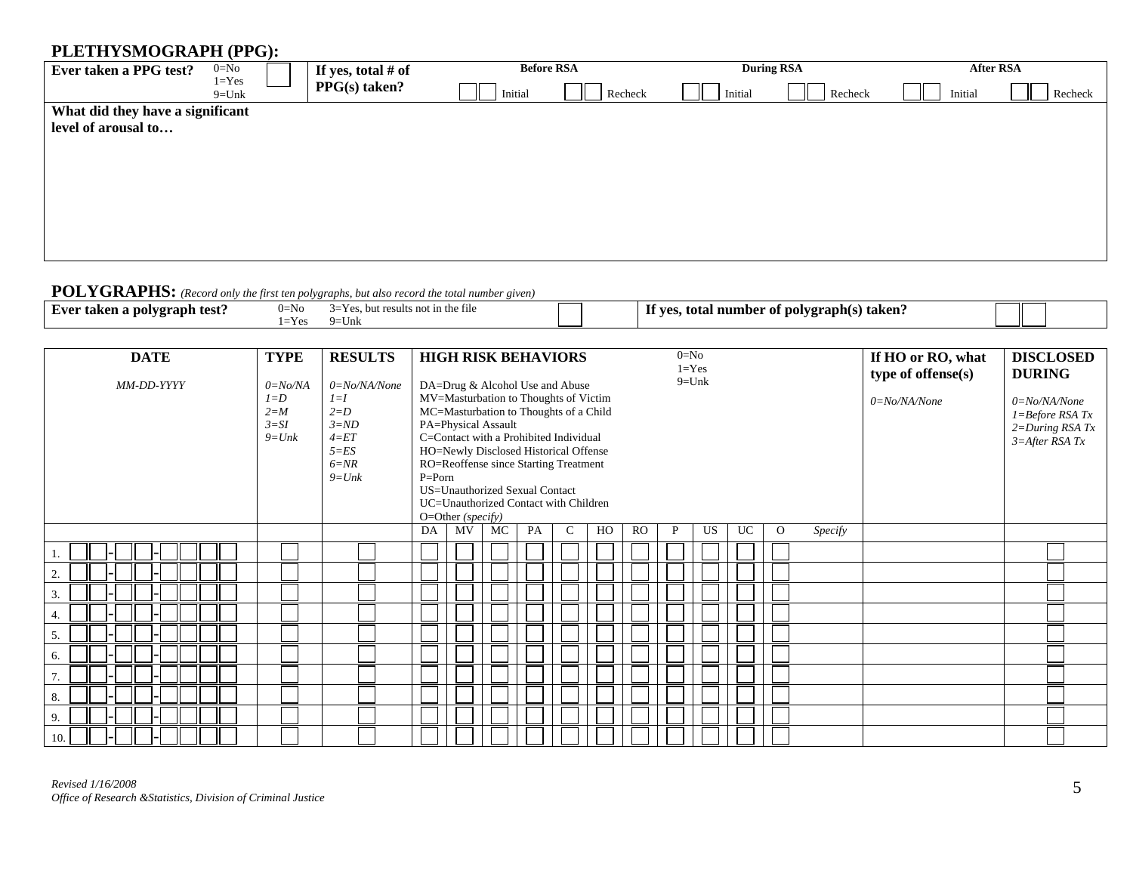# **PLETHYSMOGRAPH (PPG):**

| $= 20$                           |                        |                    |         |                   |         |                   |         |           |
|----------------------------------|------------------------|--------------------|---------|-------------------|---------|-------------------|---------|-----------|
| Ever taken a PPG test?           | $0 = No$               | If yes, total # of |         | <b>Before RSA</b> |         | <b>During RSA</b> |         | After RSA |
|                                  | $1 = Yes$<br>$9 =$ Unk | $PPG(s)$ taken?    | Initial | Recheck           | Initial | Recheck           | Initial | Recheck   |
| What did they have a significant |                        |                    |         |                   |         |                   |         |           |
| level of arousal to              |                        |                    |         |                   |         |                   |         |           |
|                                  |                        |                    |         |                   |         |                   |         |           |
|                                  |                        |                    |         |                   |         |                   |         |           |
|                                  |                        |                    |         |                   |         |                   |         |           |
|                                  |                        |                    |         |                   |         |                   |         |           |
|                                  |                        |                    |         |                   |         |                   |         |           |
|                                  |                        |                    |         |                   |         |                   |         |           |
|                                  |                        |                    |         |                   |         |                   |         |           |

# **POLYGRAPHS:** *(Record only the first ten polygraphs, but also record the total number given)*

|                                                     | .                             |                                         |                                                                                              |  |
|-----------------------------------------------------|-------------------------------|-----------------------------------------|----------------------------------------------------------------------------------------------|--|
| и та<br>` test.<br>ran<br>ДM<br>. . <b>.</b> .<br>. | $-$ Niz<br>$\mathbf{U}$<br>-. | ı the file<br>AHS.<br>. .<br>$\cup$ iii | If ve<br>$\cdot$ to $\cdot$<br>raphtsi<br>numbe<br>.<br>тоі<br>nor<br>- Іаксіі (<br><u>л</u> |  |

| <b>DATE</b><br>MM-DD-YYYY | <b>TYPE</b><br>$0=No/NA$<br>$l = D$<br>$2=M$<br>$3 = SI$<br>$9=Unk$ | <b>RESULTS</b><br>0=No/NA/None<br>$l=I$<br>$2=D$<br>$3 = ND$<br>$4 = ET$<br>$5 = ES$<br>$6=NR$<br>$9=Unk$ |    | $0 = No$<br><b>HIGH RISK BEHAVIORS</b><br>$1 = Yes$<br>$9=Unk$<br>DA=Drug & Alcohol Use and Abuse<br>MV=Masturbation to Thoughts of Victim<br>MC=Masturbation to Thoughts of a Child<br>PA=Physical Assault<br>C=Contact with a Prohibited Individual<br>HO=Newly Disclosed Historical Offense<br>RO=Reoffense since Starting Treatment<br>$P = P$ orn<br><b>US=Unauthorized Sexual Contact</b><br>UC=Unauthorized Contact with Children<br>O=Other (specify) |    |    |             |    |           |   |    | If HO or RO, what<br>type of offense(s)<br>$0 = No/NA/None$ | <b>DISCLOSED</b><br><b>DURING</b><br>$0 = No/NA/None$<br>$1 = Before RSA Tx$<br>$2 = During RSA Tx$<br>$3 =$ After RSA Tx |         |  |  |
|---------------------------|---------------------------------------------------------------------|-----------------------------------------------------------------------------------------------------------|----|---------------------------------------------------------------------------------------------------------------------------------------------------------------------------------------------------------------------------------------------------------------------------------------------------------------------------------------------------------------------------------------------------------------------------------------------------------------|----|----|-------------|----|-----------|---|----|-------------------------------------------------------------|---------------------------------------------------------------------------------------------------------------------------|---------|--|--|
|                           |                                                                     |                                                                                                           | DA | MV                                                                                                                                                                                                                                                                                                                                                                                                                                                            | MC | PA | $\mathbf C$ | HO | <b>RO</b> | P | US | UC                                                          | $\Omega$                                                                                                                  | Specify |  |  |
|                           |                                                                     |                                                                                                           |    |                                                                                                                                                                                                                                                                                                                                                                                                                                                               |    |    |             |    |           |   |    |                                                             |                                                                                                                           |         |  |  |
|                           |                                                                     |                                                                                                           |    |                                                                                                                                                                                                                                                                                                                                                                                                                                                               |    |    |             |    |           |   |    |                                                             |                                                                                                                           |         |  |  |
| 3.                        |                                                                     |                                                                                                           |    |                                                                                                                                                                                                                                                                                                                                                                                                                                                               |    |    |             |    |           |   |    |                                                             |                                                                                                                           |         |  |  |
|                           |                                                                     |                                                                                                           |    |                                                                                                                                                                                                                                                                                                                                                                                                                                                               |    |    |             |    |           |   |    |                                                             |                                                                                                                           |         |  |  |
| 5.                        |                                                                     |                                                                                                           |    |                                                                                                                                                                                                                                                                                                                                                                                                                                                               |    |    |             |    |           |   |    |                                                             |                                                                                                                           |         |  |  |
| 6.                        |                                                                     |                                                                                                           |    |                                                                                                                                                                                                                                                                                                                                                                                                                                                               |    |    |             |    |           |   |    |                                                             |                                                                                                                           |         |  |  |
|                           |                                                                     |                                                                                                           |    |                                                                                                                                                                                                                                                                                                                                                                                                                                                               |    |    |             |    |           |   |    |                                                             |                                                                                                                           |         |  |  |
| 8.                        |                                                                     |                                                                                                           |    |                                                                                                                                                                                                                                                                                                                                                                                                                                                               |    |    |             |    |           |   |    |                                                             |                                                                                                                           |         |  |  |
| 9.                        |                                                                     |                                                                                                           |    |                                                                                                                                                                                                                                                                                                                                                                                                                                                               |    |    |             |    |           |   |    |                                                             |                                                                                                                           |         |  |  |
| 10.1<br>I-                |                                                                     |                                                                                                           |    |                                                                                                                                                                                                                                                                                                                                                                                                                                                               |    |    |             |    |           |   |    |                                                             |                                                                                                                           |         |  |  |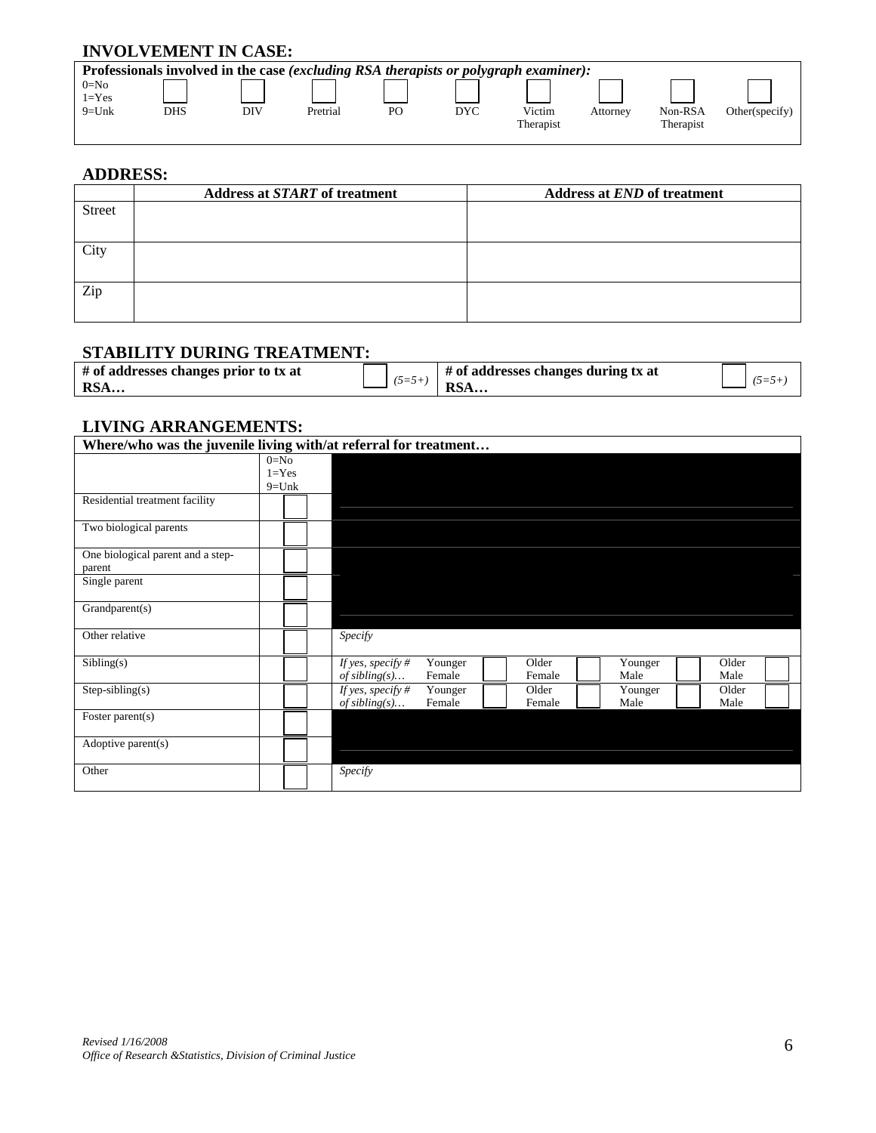# **INVOLVEMENT IN CASE:**

| Professionals involved in the case (excluding RSA therapists or polygraph examiner): |     |          |    |            |           |          |           |                |  |  |  |  |  |  |
|--------------------------------------------------------------------------------------|-----|----------|----|------------|-----------|----------|-----------|----------------|--|--|--|--|--|--|
|                                                                                      |     |          |    |            |           |          |           |                |  |  |  |  |  |  |
|                                                                                      |     |          |    |            |           |          |           |                |  |  |  |  |  |  |
| DHS                                                                                  | DIV | Pretrial | PO | <b>DYC</b> | Victim    | Attorney | Non-RSA   | Other(specify) |  |  |  |  |  |  |
|                                                                                      |     |          |    |            | Therapist |          | Therapist |                |  |  |  |  |  |  |
|                                                                                      |     |          |    |            |           |          |           |                |  |  |  |  |  |  |

## **ADDRESS:**

|               | <b>Address at START of treatment</b> | <b>Address at END of treatment</b> |
|---------------|--------------------------------------|------------------------------------|
| <b>Street</b> |                                      |                                    |
| City          |                                      |                                    |
| Zip           |                                      |                                    |

## **STABILITY DURING TREATMENT:**

| # of addresses changes prior to tx at | $\sim$ $ \sim$ | # of addresses changes during tx at |  |
|---------------------------------------|----------------|-------------------------------------|--|
| <b>RSA</b>                            |                | RSA                                 |  |

## **LIVING ARRANGEMENTS:**

| Where/who was the juvenile living with/at referral for treatment |           |                   |         |        |         |       |  |
|------------------------------------------------------------------|-----------|-------------------|---------|--------|---------|-------|--|
|                                                                  | $0 = No$  |                   |         |        |         |       |  |
|                                                                  | $1 = Yes$ |                   |         |        |         |       |  |
|                                                                  | $9=Unk$   |                   |         |        |         |       |  |
| Residential treatment facility                                   |           |                   |         |        |         |       |  |
| Two biological parents                                           |           |                   |         |        |         |       |  |
| One biological parent and a step-<br>parent                      |           |                   |         |        |         |       |  |
| Single parent                                                    |           |                   |         |        |         |       |  |
| Grandparent(s)                                                   |           |                   |         |        |         |       |  |
| Other relative                                                   |           | Specify           |         |        |         |       |  |
| Sibling(s)                                                       |           | If yes, specify # | Younger | Older  | Younger | Older |  |
|                                                                  |           | of sibling(s)     | Female  | Female | Male    | Male  |  |
| $Step-sibling(s)$                                                |           | If yes, specify # | Younger | Older  | Younger | Older |  |
|                                                                  |           | of sibling(s)     | Female  | Female | Male    | Male  |  |
| Foster parent(s)                                                 |           |                   |         |        |         |       |  |
| Adoptive parent(s)                                               |           |                   |         |        |         |       |  |
| Other                                                            |           | Specify           |         |        |         |       |  |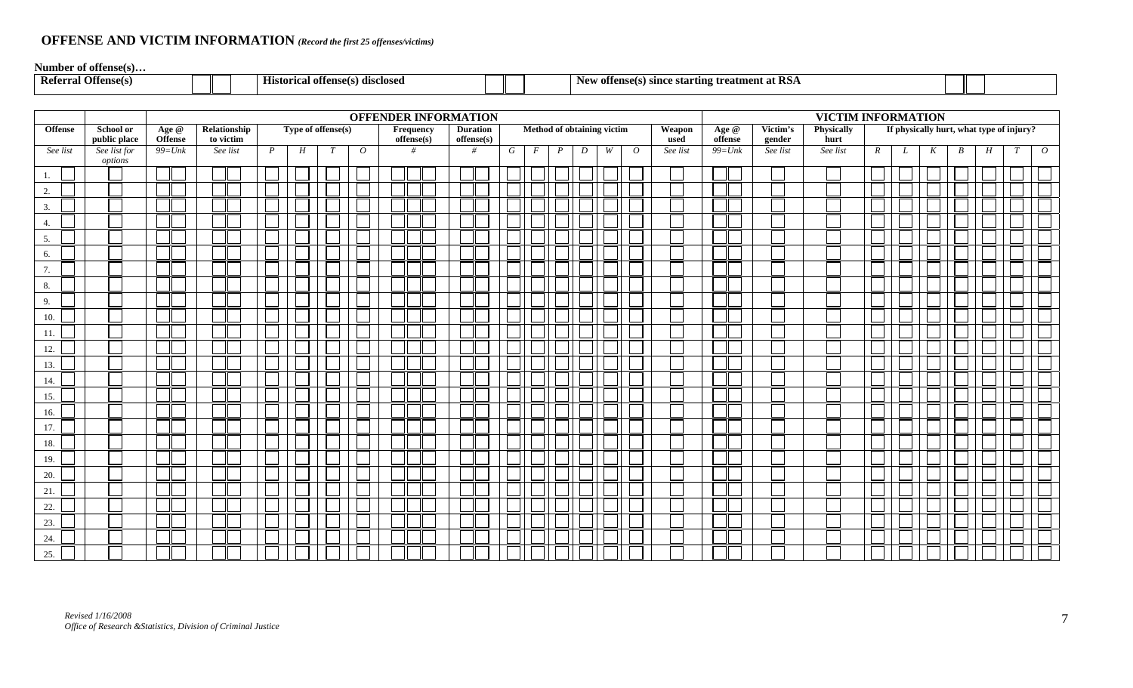# **OFFENSE AND VICTIM INFORMATION** *(Record the first 25 offenses/victims)*

**Number of offense(s)…**

| -)ffense(s)<br>— Keter∽ | ---<br>--<br>л++л<br>\ disclose.<br>Hıstor<br>,,,, | . DC<br>≅rtıng treatmen.<br>New<br>` sınc<br>offens<br>al IVI <i>t</i> |  |
|-------------------------|----------------------------------------------------|------------------------------------------------------------------------|--|
|                         |                                                    |                                                                        |  |

|                | <b>OFFENDER INFORMATION</b><br>Type of offense(s) |                         |                           |                  |   |   |                |  |                         |                               |   |                |                  |                            |   |                |                | VICTIM INFORMATION |  |                    |                    |              |   |                                          |                  |   |   |                |
|----------------|---------------------------------------------------|-------------------------|---------------------------|------------------|---|---|----------------|--|-------------------------|-------------------------------|---|----------------|------------------|----------------------------|---|----------------|----------------|--------------------|--|--------------------|--------------------|--------------|---|------------------------------------------|------------------|---|---|----------------|
| <b>Offense</b> | <b>School or</b><br>public place                  | Age @<br><b>Offense</b> | Relationship<br>to victim |                  |   |   |                |  | Frequency<br>offense(s) | <b>Duration</b><br>offense(s) |   |                |                  | Method of obtaining victim |   |                | Weapon<br>used | Age @<br>offense   |  | Victim's<br>gender | Physically<br>hurt |              |   | If physically hurt, what type of injury? |                  |   |   |                |
| See list       | See list for                                      | $99=Unk$                | See list                  | $\boldsymbol{P}$ | H | T | $\overline{O}$ |  | #                       | #                             | G | $\overline{F}$ | $\boldsymbol{P}$ | D                          | W | $\overline{O}$ | See list       | $99 = Unk$         |  | See list           | See list           | $\mathbb{R}$ | L | K                                        | $\boldsymbol{B}$ | H | T | $\overline{O}$ |
|                | options                                           |                         |                           |                  |   |   |                |  |                         |                               |   |                |                  |                            |   |                |                |                    |  |                    |                    |              |   |                                          |                  |   |   |                |
| 1.             |                                                   |                         |                           |                  |   |   |                |  |                         |                               |   |                |                  |                            |   |                |                |                    |  |                    |                    |              |   |                                          |                  |   |   |                |
| 2.             |                                                   |                         |                           |                  |   |   |                |  |                         |                               |   |                |                  |                            |   |                |                |                    |  |                    |                    |              |   |                                          |                  |   |   |                |
| 3.             |                                                   |                         |                           |                  |   |   |                |  |                         |                               |   |                |                  |                            |   |                |                |                    |  |                    |                    |              |   |                                          |                  |   |   |                |
| 4.             |                                                   |                         |                           |                  |   |   |                |  |                         |                               |   |                |                  |                            |   |                |                |                    |  |                    |                    |              |   |                                          |                  |   |   |                |
| 5.             |                                                   |                         |                           |                  |   |   |                |  |                         |                               |   |                |                  |                            |   |                |                |                    |  |                    |                    |              |   |                                          |                  |   |   |                |
| 6.             |                                                   |                         |                           |                  |   |   |                |  |                         |                               |   |                |                  |                            |   |                |                |                    |  |                    |                    |              |   |                                          |                  |   |   |                |
| 7.             |                                                   |                         |                           |                  |   |   |                |  |                         |                               |   |                |                  |                            |   |                |                |                    |  |                    |                    |              |   |                                          |                  |   |   |                |
| 8.             |                                                   |                         |                           |                  |   |   |                |  |                         |                               |   |                |                  |                            |   |                |                |                    |  |                    |                    |              |   |                                          |                  |   |   |                |
| 9.             |                                                   |                         |                           |                  |   |   |                |  |                         |                               |   |                |                  |                            |   |                |                |                    |  |                    |                    |              |   |                                          |                  |   |   |                |
| 10.            |                                                   |                         |                           |                  |   |   |                |  |                         |                               |   |                |                  |                            |   |                |                |                    |  |                    |                    |              |   |                                          |                  |   |   |                |
| 11.            |                                                   |                         |                           |                  |   |   |                |  |                         |                               |   |                |                  |                            |   |                |                |                    |  |                    |                    |              |   |                                          |                  |   |   |                |
| 12.            |                                                   |                         |                           |                  |   |   |                |  |                         |                               |   |                |                  |                            |   |                |                |                    |  |                    |                    |              |   |                                          |                  |   |   |                |
| 13.            |                                                   |                         |                           |                  |   |   |                |  |                         |                               |   |                |                  |                            |   |                |                |                    |  |                    |                    |              |   |                                          |                  |   |   |                |
| 14.            |                                                   |                         |                           |                  |   |   |                |  |                         |                               |   |                |                  |                            |   |                |                |                    |  |                    |                    |              |   |                                          |                  |   |   |                |
| 15.            |                                                   |                         |                           |                  |   |   |                |  |                         |                               |   |                |                  |                            |   |                |                |                    |  |                    |                    |              |   |                                          |                  |   |   |                |
| 16.            |                                                   |                         |                           |                  |   |   |                |  |                         |                               |   |                |                  |                            |   |                |                |                    |  |                    |                    |              |   |                                          |                  |   |   |                |
| 17.            |                                                   |                         |                           |                  |   |   |                |  |                         |                               |   |                |                  |                            |   |                |                |                    |  |                    |                    |              |   |                                          |                  |   |   |                |
| 18.            |                                                   |                         |                           |                  |   |   |                |  |                         |                               |   |                |                  |                            |   |                |                |                    |  |                    |                    |              |   |                                          |                  |   |   |                |
| 19.            |                                                   |                         |                           |                  |   |   |                |  |                         |                               |   |                |                  |                            |   |                |                |                    |  |                    |                    |              |   |                                          |                  |   |   |                |
| 20.            |                                                   |                         |                           |                  |   |   |                |  |                         |                               |   |                |                  |                            |   |                |                |                    |  |                    |                    |              |   |                                          |                  |   |   |                |
| 21.            |                                                   |                         |                           |                  |   |   |                |  |                         |                               |   |                |                  |                            |   |                |                |                    |  |                    |                    |              |   |                                          |                  |   |   |                |
| 22.            |                                                   |                         |                           |                  |   |   |                |  |                         |                               |   |                |                  |                            |   |                |                |                    |  |                    |                    |              |   |                                          |                  |   |   |                |
| 23.            |                                                   |                         |                           |                  |   |   |                |  |                         |                               |   |                |                  |                            |   |                |                |                    |  |                    |                    |              |   |                                          |                  |   |   |                |
| 24.            |                                                   |                         |                           |                  |   |   |                |  |                         |                               |   |                |                  |                            |   |                |                |                    |  |                    |                    |              |   |                                          |                  |   |   |                |
| 25.            |                                                   |                         |                           |                  |   |   |                |  |                         |                               |   |                |                  |                            |   |                |                |                    |  |                    |                    |              |   |                                          |                  |   |   |                |